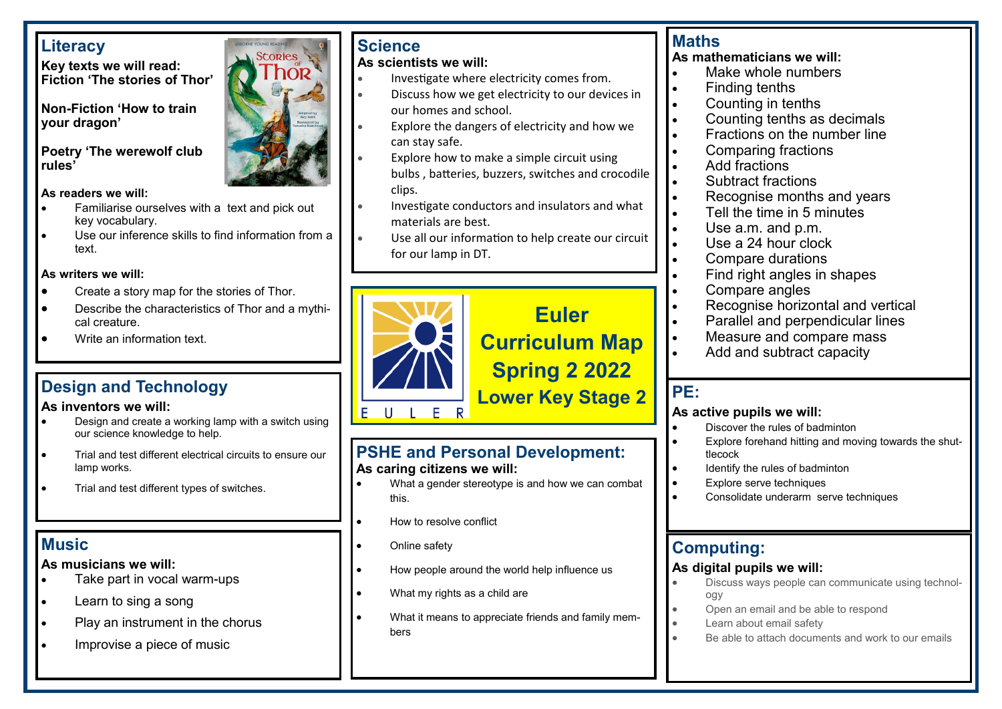## **Literacy**

**Key texts we will read: Fiction 'The stories of Thor'**

**Non-Fiction 'How to train your dragon'**

## **Poetry 'The werewolf club rules'**

## **As readers we will:**

- Familiarise ourselves with a text and pick out key vocabulary.
- Use our inference skills to find information from a text.

## **As writers we will:**

- Create a story map for the stories of Thor.
- Describe the characteristics of Thor and a mythical creature.
- Write an information text.

## **As inventors we will:**

- Design and create a working lamp with a switch using our science knowledge to help.
- Trial and test different electrical circuits to ensure our lamp works.
- Trial and test different types of switches.

## **Music**

## **As musicians we will:**

- Take part in vocal warm-ups
- Learn to sing a song
- Play an instrument in the chorus
- Improvise a piece of music

## **Science**

**Stories** 

## **As scientists we will:**

- Investigate where electricity comes from.
- Discuss how we get electricity to our devices in our homes and school.
- Explore the dangers of electricity and how we can stay safe.
- Explore how to make a simple circuit using bulbs , batteries, buzzers, switches and crocodile clips.
- Investigate conductors and insulators and what materials are best.
- Use all our information to help create our circuit for our lamp in DT.



## **Maths**

**As mathematicians we will:**

- Make whole numbers
- Finding tenths
- Counting in tenths
- Counting tenths as decimals
- Fractions on the number line
- Comparing fractions
- Add fractions
- Subtract fractions
- Recognise months and years
- Tell the time in 5 minutes
- Use a.m. and p.m.
- Use a 24 hour clock
- Compare durations
- Find right angles in shapes
- Compare angles
- Recognise horizontal and vertical
- Parallel and perpendicular lines
- Measure and compare mass
- Add and subtract capacity

## **PE:**

## **As active pupils we will:**

- Discover the rules of badminton
- Explore forehand hitting and moving towards the shuttlecock
- Identify the rules of badminton
- Explore serve techniques
- Consolidate underarm serve techniques

## **Computing:**

## **As digital pupils we will:**

- Discuss ways people can communicate using technology
- Open an email and be able to respond
- Learn about email safety
- Be able to attach documents and work to our emails

# **Design and Technology**<br>As inventors we will:<br>As inventors we will:

## **PSHE and Personal Development: As caring citizens we will:**

- What a gender stereotype is and how we can combat this.
- How to resolve conflict
- **Online safety**
- How people around the world help influence us
- What my rights as a child are
- What it means to appreciate friends and family members